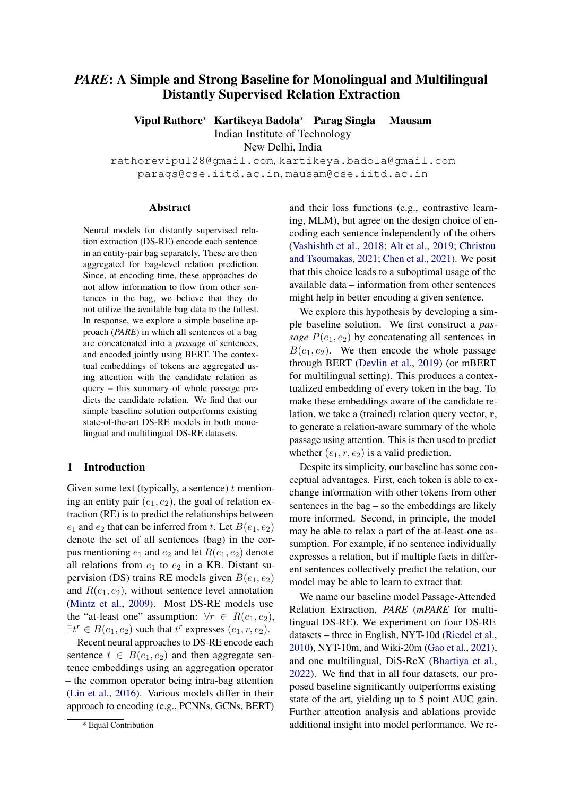# *PARE*: A Simple and Strong Baseline for Monolingual and Multilingual Distantly Supervised Relation Extraction

Vipul Rathor[e](#page-0-0)<sup>∗</sup> Kartikeya Badola<sup>∗</sup> Parag Singla Mausam

Indian Institute of Technology

New Delhi, India

rathorevipul28@gmail.com, kartikeya.badola@gmail.com parags@cse.iitd.ac.in, mausam@cse.iitd.ac.in

#### Abstract

Neural models for distantly supervised relation extraction (DS-RE) encode each sentence in an entity-pair bag separately. These are then aggregated for bag-level relation prediction. Since, at encoding time, these approaches do not allow information to flow from other sentences in the bag, we believe that they do not utilize the available bag data to the fullest. In response, we explore a simple baseline approach (*PARE*) in which all sentences of a bag are concatenated into a *passage* of sentences, and encoded jointly using BERT. The contextual embeddings of tokens are aggregated using attention with the candidate relation as query – this summary of whole passage predicts the candidate relation. We find that our simple baseline solution outperforms existing state-of-the-art DS-RE models in both monolingual and multilingual DS-RE datasets.

### 1 Introduction

Given some text (typically, a sentence)  $t$  mentioning an entity pair  $(e_1, e_2)$ , the goal of relation extraction (RE) is to predict the relationships between  $e_1$  and  $e_2$  that can be inferred from t. Let  $B(e_1, e_2)$ denote the set of all sentences (bag) in the corpus mentioning  $e_1$  and  $e_2$  and let  $R(e_1, e_2)$  denote all relations from  $e_1$  to  $e_2$  in a KB. Distant supervision (DS) trains RE models given  $B(e_1, e_2)$ and  $R(e_1, e_2)$ , without sentence level annotation [\(Mintz et al.,](#page-5-0) [2009\)](#page-5-0). Most DS-RE models use the "at-least one" assumption:  $\forall r \in R(e_1, e_2)$ ,  $\exists t^r \in B(e_1, e_2)$  such that  $t^r$  expresses  $(e_1, r, e_2)$ .

Recent neural approaches to DS-RE encode each sentence  $t \in B(e_1, e_2)$  and then aggregate sentence embeddings using an aggregation operator – the common operator being intra-bag attention [\(Lin et al.,](#page-5-1) [2016\)](#page-5-1). Various models differ in their approach to encoding (e.g., PCNNs, GCNs, BERT) and their loss functions (e.g., contrastive learning, MLM), but agree on the design choice of encoding each sentence independently of the others [\(Vashishth et al.,](#page-6-0) [2018;](#page-6-0) [Alt et al.,](#page-5-2) [2019;](#page-5-2) [Christou](#page-5-3) [and Tsoumakas,](#page-5-3) [2021;](#page-5-3) [Chen et al.,](#page-5-4) [2021\)](#page-5-4). We posit that this choice leads to a suboptimal usage of the available data – information from other sentences might help in better encoding a given sentence.

We explore this hypothesis by developing a simple baseline solution. We first construct a *passage*  $P(e_1, e_2)$  by concatenating all sentences in  $B(e_1, e_2)$ . We then encode the whole passage through BERT [\(Devlin et al.,](#page-5-5) [2019\)](#page-5-5) (or mBERT for multilingual setting). This produces a contextualized embedding of every token in the bag. To make these embeddings aware of the candidate relation, we take a (trained) relation query vector, r, to generate a relation-aware summary of the whole passage using attention. This is then used to predict whether  $(e_1, r, e_2)$  is a valid prediction.

Despite its simplicity, our baseline has some conceptual advantages. First, each token is able to exchange information with other tokens from other sentences in the bag – so the embeddings are likely more informed. Second, in principle, the model may be able to relax a part of the at-least-one assumption. For example, if no sentence individually expresses a relation, but if multiple facts in different sentences collectively predict the relation, our model may be able to learn to extract that.

We name our baseline model Passage-Attended Relation Extraction, *PARE* (*mPARE* for multilingual DS-RE). We experiment on four DS-RE datasets – three in English, NYT-10d [\(Riedel et al.,](#page-6-1) [2010\)](#page-6-1), NYT-10m, and Wiki-20m [\(Gao et al.,](#page-5-6) [2021\)](#page-5-6), and one multilingual, DiS-ReX [\(Bhartiya et al.,](#page-5-7) [2022\)](#page-5-7). We find that in all four datasets, our proposed baseline significantly outperforms existing state of the art, yielding up to 5 point AUC gain. Further attention analysis and ablations provide additional insight into model performance. We re-

<span id="page-0-0"></span><sup>\*</sup> Equal Contribution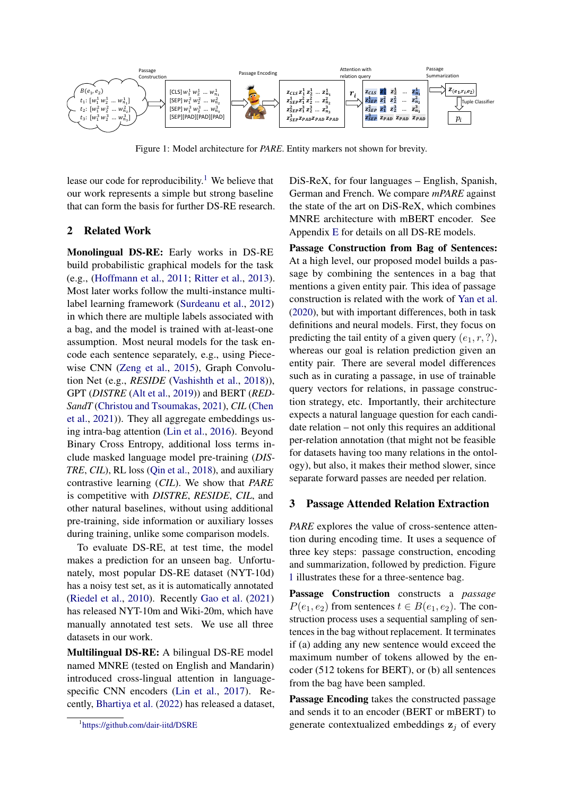<span id="page-1-1"></span>

Figure 1: Model architecture for *PARE*. Entity markers not shown for brevity.

lease our code for reproducibility.<sup>[1](#page-1-0)</sup> We believe that our work represents a simple but strong baseline that can form the basis for further DS-RE research.

#### 2 Related Work

Monolingual DS-RE: Early works in DS-RE build probabilistic graphical models for the task (e.g., [\(Hoffmann et al.,](#page-5-8) [2011;](#page-5-8) [Ritter et al.,](#page-6-2) [2013\)](#page-6-2). Most later works follow the multi-instance multilabel learning framework [\(Surdeanu et al.,](#page-6-3) [2012\)](#page-6-3) in which there are multiple labels associated with a bag, and the model is trained with at-least-one assumption. Most neural models for the task encode each sentence separately, e.g., using Piecewise CNN [\(Zeng et al.,](#page-6-4) [2015\)](#page-6-4), Graph Convolution Net (e.g., *RESIDE* [\(Vashishth et al.,](#page-6-0) [2018\)](#page-6-0)), GPT (*DISTRE* [\(Alt et al.,](#page-5-2) [2019\)](#page-5-2)) and BERT (*RED-SandT* [\(Christou and Tsoumakas,](#page-5-3) [2021\)](#page-5-3), *CIL* [\(Chen](#page-5-4) [et al.,](#page-5-4) [2021\)](#page-5-4)). They all aggregate embeddings using intra-bag attention [\(Lin et al.,](#page-5-1) [2016\)](#page-5-1). Beyond Binary Cross Entropy, additional loss terms include masked language model pre-training (*DIS-TRE*, *CIL*), RL loss [\(Qin et al.,](#page-6-5) [2018\)](#page-6-5), and auxiliary contrastive learning (*CIL*). We show that *PARE* is competitive with *DISTRE*, *RESIDE*, *CIL*, and other natural baselines, without using additional pre-training, side information or auxiliary losses during training, unlike some comparison models.

To evaluate DS-RE, at test time, the model makes a prediction for an unseen bag. Unfortunately, most popular DS-RE dataset (NYT-10d) has a noisy test set, as it is automatically annotated [\(Riedel et al.,](#page-6-1) [2010\)](#page-6-1). Recently [Gao et al.](#page-5-6) [\(2021\)](#page-5-6) has released NYT-10m and Wiki-20m, which have manually annotated test sets. We use all three datasets in our work.

Multilingual DS-RE: A bilingual DS-RE model named MNRE (tested on English and Mandarin) introduced cross-lingual attention in languagespecific CNN encoders [\(Lin et al.,](#page-5-9) [2017\)](#page-5-9). Recently, [Bhartiya et al.](#page-5-7) [\(2022\)](#page-5-7) has released a dataset, DiS-ReX, for four languages – English, Spanish, German and French. We compare *mPARE* against the state of the art on DiS-ReX, which combines MNRE architecture with mBERT encoder. See Appendix [E](#page-8-0) for details on all DS-RE models.

Passage Construction from Bag of Sentences: At a high level, our proposed model builds a passage by combining the sentences in a bag that mentions a given entity pair. This idea of passage construction is related with the work of [Yan et al.](#page-6-6) [\(2020\)](#page-6-6), but with important differences, both in task definitions and neural models. First, they focus on predicting the tail entity of a given query  $(e_1, r, ?)$ , whereas our goal is relation prediction given an entity pair. There are several model differences such as in curating a passage, in use of trainable query vectors for relations, in passage construction strategy, etc. Importantly, their architecture expects a natural language question for each candidate relation – not only this requires an additional per-relation annotation (that might not be feasible for datasets having too many relations in the ontology), but also, it makes their method slower, since separate forward passes are needed per relation.

#### <span id="page-1-2"></span>3 Passage Attended Relation Extraction

*PARE* explores the value of cross-sentence attention during encoding time. It uses a sequence of three key steps: passage construction, encoding and summarization, followed by prediction. Figure [1](#page-1-1) illustrates these for a three-sentence bag.

Passage Construction constructs a *passage*  $P(e_1, e_2)$  from sentences  $t \in B(e_1, e_2)$ . The construction process uses a sequential sampling of sentences in the bag without replacement. It terminates if (a) adding any new sentence would exceed the maximum number of tokens allowed by the encoder (512 tokens for BERT), or (b) all sentences from the bag have been sampled.

Passage Encoding takes the constructed passage and sends it to an encoder (BERT or mBERT) to generate contextualized embeddings  $z_j$  of every

<span id="page-1-0"></span><sup>1</sup> <https://github.com/dair-iitd/DSRE>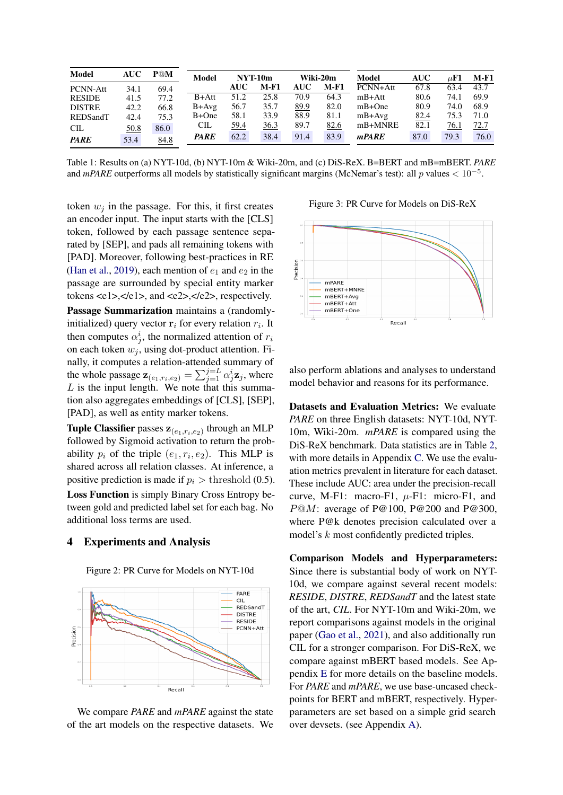<span id="page-2-0"></span>

| Model         | <b>AUC</b> | P@M  | <b>Model</b> |            | NYT-10m |            | Wiki-20m | <b>Model</b> | AUC  | $\mu \text{F1}$ | <b>M-F1</b> |
|---------------|------------|------|--------------|------------|---------|------------|----------|--------------|------|-----------------|-------------|
| PCNN-Att      | 34.1       | 69.4 |              | <b>AUC</b> | $M-F1$  | <b>AUC</b> | M-F1     | PCNN+Att     | 67.8 | 63.4            | 43.7        |
| <b>RESIDE</b> | 41.5       | 77.2 | $B+Att$      | 51.2       | 25.8    | 70.9       | 64.3     | $mB+Att$     | 80.6 | 74.1            | 69.9        |
| <b>DISTRE</b> | 42.2       | 66.8 | $B+Avg$      | 56.7       | 35.7    | 89.9       | 82.0     | $mB+One$     | 80.9 | 74.0            | 68.9        |
| REDSandT      | 42.4       | 75.3 | $B+One$      | 58.1       | 33.9    | 88.9       | 81.1     | $mB+Avg$     | 82.4 | 75.3            | 71.0        |
| CL            | 50.8       | 86.0 | <b>CIL</b>   | 59.4       | 36.3    | 89.7       | 82.6     | mB+MNRE      | 82.1 | 76.1            | 72.7        |
| <b>PARE</b>   | 53.4       | 84.8 | <b>PARE</b>  | 62.2       | 38.4    | 91.4       | 83.9     | mPARE        | 87.0 | 79.3            | 76.0        |

Table 1: Results on (a) NYT-10d, (b) NYT-10m & Wiki-20m, and (c) DiS-ReX. B=BERT and mB=mBERT. *PARE* and  $mPARE$  outperforms all models by statistically significant margins (McNemar's test): all p values  $< 10^{-5}$ .

token  $w_i$  in the passage. For this, it first creates an encoder input. The input starts with the [CLS] token, followed by each passage sentence separated by [SEP], and pads all remaining tokens with [PAD]. Moreover, following best-practices in RE [\(Han et al.,](#page-5-10) [2019\)](#page-5-10), each mention of  $e_1$  and  $e_2$  in the passage are surrounded by special entity marker tokens  $\langle e1\rangle$ ,  $\langle e1\rangle$ , and  $\langle e2\rangle$ ,  $\langle e2\rangle$ , respectively.

Passage Summarization maintains a (randomlyinitialized) query vector  $r_i$  for every relation  $r_i$ . It then computes  $\alpha_j^i$ , the normalized attention of  $r_i$ on each token  $w_i$ , using dot-product attention. Finally, it computes a relation-attended summary of the whole passage  $\mathbf{z}_{(e_1,r_i,e_2)} = \sum_{j=1}^{j=L} \alpha_j^i \mathbf{z}_j$ , where L is the input length. We note that this summation also aggregates embeddings of [CLS], [SEP], [PAD], as well as entity marker tokens.

**Tuple Classifier** passes  $z_{(e_1,r_i,e_2)}$  through an MLP followed by Sigmoid activation to return the probability  $p_i$  of the triple  $(e_1, r_i, e_2)$ . This MLP is shared across all relation classes. At inference, a positive prediction is made if  $p_i >$  threshold (0.5). Loss Function is simply Binary Cross Entropy between gold and predicted label set for each bag. No additional loss terms are used.

#### 4 Experiments and Analysis

<span id="page-2-1"></span>

Figure 2: PR Curve for Models on NYT-10d

We compare *PARE* and *mPARE* against the state of the art models on the respective datasets. We

<span id="page-2-2"></span>Figure 3: PR Curve for Models on DiS-ReX



also perform ablations and analyses to understand model behavior and reasons for its performance.

Datasets and Evaluation Metrics: We evaluate *PARE* on three English datasets: NYT-10d, NYT-10m, Wiki-20m. *mPARE* is compared using the DiS-ReX benchmark. Data statistics are in Table [2,](#page-3-0) with more details in Appendix [C.](#page-7-0) We use the evaluation metrics prevalent in literature for each dataset. These include AUC: area under the precision-recall curve, M-F1: macro-F1,  $\mu$ -F1: micro-F1, and P@M: average of P@100, P@200 and P@300, where P@k denotes precision calculated over a model's k most confidently predicted triples.

Comparison Models and Hyperparameters: Since there is substantial body of work on NYT-10d, we compare against several recent models: *RESIDE*, *DISTRE*, *REDSandT* and the latest state of the art, *CIL*. For NYT-10m and Wiki-20m, we report comparisons against models in the original paper [\(Gao et al.,](#page-5-6) [2021\)](#page-5-6), and also additionally run CIL for a stronger comparison. For DiS-ReX, we compare against mBERT based models. See Appendix [E](#page-8-0) for more details on the baseline models. For *PARE* and *mPARE*, we use base-uncased checkpoints for BERT and mBERT, respectively. Hyperparameters are set based on a simple grid search over devsets. (see Appendix [A\)](#page-7-1).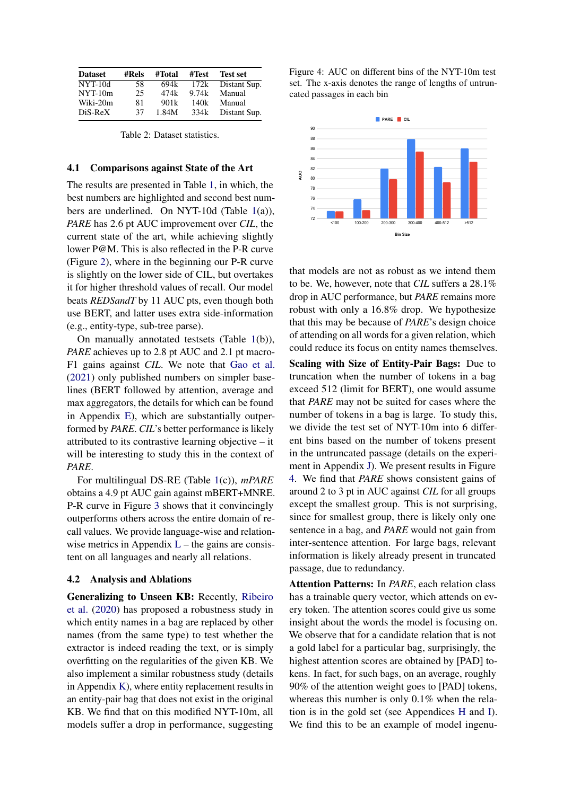<span id="page-3-0"></span>

| <b>Dataset</b> | #Rels | #Total | #Test | <b>Test set</b> |
|----------------|-------|--------|-------|-----------------|
| $NYT-10d$      | 58    | 694k   | 172k  | Distant Sup.    |
| $NYT-10m$      | 25    | 474k   | 9.74k | Manual          |
| Wiki-20m       | 81    | 901k   | 140k  | Manual          |
| $Dis-ReX$      | 37    | 1.84M  | 334k  | Distant Sup.    |

Table 2: Dataset statistics.

#### 4.1 Comparisons against State of the Art

The results are presented in Table [1,](#page-2-0) in which, the best numbers are highlighted and second best numbers are underlined. On NYT-10d (Table [1\(](#page-2-0)a)), *PARE* has 2.6 pt AUC improvement over *CIL*, the current state of the art, while achieving slightly lower P@M. This is also reflected in the P-R curve (Figure [2\)](#page-2-1), where in the beginning our P-R curve is slightly on the lower side of CIL, but overtakes it for higher threshold values of recall. Our model beats *REDSandT* by 11 AUC pts, even though both use BERT, and latter uses extra side-information (e.g., entity-type, sub-tree parse).

On manually annotated testsets (Table [1\(](#page-2-0)b)), *PARE* achieves up to 2.8 pt AUC and 2.1 pt macro-F1 gains against *CIL*. We note that [Gao et al.](#page-5-6) [\(2021\)](#page-5-6) only published numbers on simpler baselines (BERT followed by attention, average and max aggregators, the details for which can be found in Appendix [E\)](#page-8-0), which are substantially outperformed by *PARE*. *CIL*'s better performance is likely attributed to its contrastive learning objective – it will be interesting to study this in the context of *PARE*.

For multilingual DS-RE (Table [1\(](#page-2-0)c)), *mPARE* obtains a 4.9 pt AUC gain against mBERT+MNRE. P-R curve in Figure [3](#page-2-2) shows that it convincingly outperforms others across the entire domain of recall values. We provide language-wise and relationwise metrics in Appendix  $L$  – the gains are consistent on all languages and nearly all relations.

#### 4.2 Analysis and Ablations

Generalizing to Unseen KB: Recently, [Ribeiro](#page-6-7) [et al.](#page-6-7) [\(2020\)](#page-6-7) has proposed a robustness study in which entity names in a bag are replaced by other names (from the same type) to test whether the extractor is indeed reading the text, or is simply overfitting on the regularities of the given KB. We also implement a similar robustness study (details in Appendix [K\)](#page-11-0), where entity replacement results in an entity-pair bag that does not exist in the original KB. We find that on this modified NYT-10m, all models suffer a drop in performance, suggesting <span id="page-3-1"></span>Figure 4: AUC on different bins of the NYT-10m test set. The x-axis denotes the range of lengths of untruncated passages in each bin



that models are not as robust as we intend them to be. We, however, note that *CIL* suffers a 28.1% drop in AUC performance, but *PARE* remains more robust with only a 16.8% drop. We hypothesize that this may be because of *PARE*'s design choice of attending on all words for a given relation, which could reduce its focus on entity names themselves.

Scaling with Size of Entity-Pair Bags: Due to truncation when the number of tokens in a bag exceed 512 (limit for BERT), one would assume that *PARE* may not be suited for cases where the number of tokens in a bag is large. To study this, we divide the test set of NYT-10m into 6 different bins based on the number of tokens present in the untruncated passage (details on the experiment in Appendix [J\)](#page-10-0). We present results in Figure [4.](#page-3-1) We find that *PARE* shows consistent gains of around 2 to 3 pt in AUC against *CIL* for all groups except the smallest group. This is not surprising, since for smallest group, there is likely only one sentence in a bag, and *PARE* would not gain from inter-sentence attention. For large bags, relevant information is likely already present in truncated passage, due to redundancy.

Attention Patterns: In *PARE*, each relation class has a trainable query vector, which attends on every token. The attention scores could give us some insight about the words the model is focusing on. We observe that for a candidate relation that is not a gold label for a particular bag, surprisingly, the highest attention scores are obtained by [PAD] tokens. In fact, for such bags, on an average, roughly 90% of the attention weight goes to [PAD] tokens, whereas this number is only 0.1% when the relation is in the gold set (see Appendices [H](#page-10-1) and [I\)](#page-10-2). We find this to be an example of model ingenu-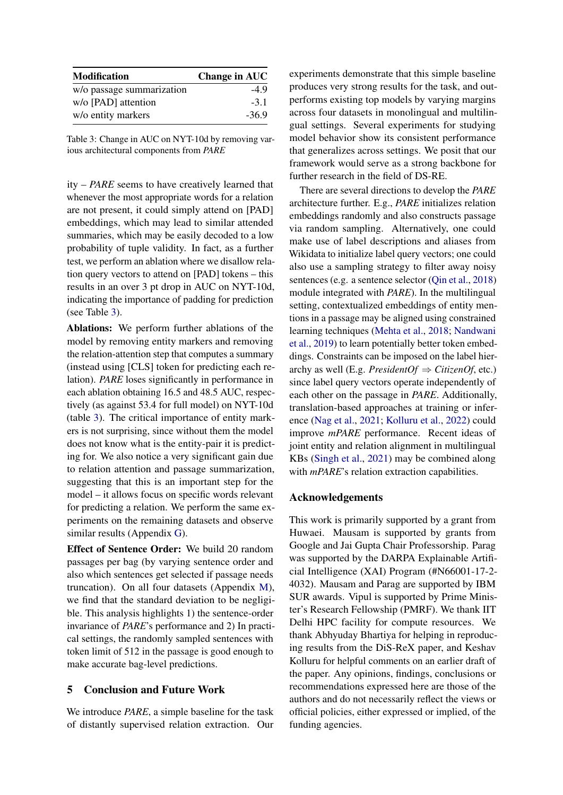<span id="page-4-0"></span>

| <b>Modification</b>       | <b>Change in AUC</b> |
|---------------------------|----------------------|
| w/o passage summarization | -49                  |
| w/o [PAD] attention       | $-3.1$               |
| w/o entity markers        | $-36.9$              |

Table 3: Change in AUC on NYT-10d by removing various architectural components from *PARE*

ity – *PARE* seems to have creatively learned that whenever the most appropriate words for a relation are not present, it could simply attend on [PAD] embeddings, which may lead to similar attended summaries, which may be easily decoded to a low probability of tuple validity. In fact, as a further test, we perform an ablation where we disallow relation query vectors to attend on [PAD] tokens – this results in an over 3 pt drop in AUC on NYT-10d, indicating the importance of padding for prediction (see Table [3\)](#page-4-0).

Ablations: We perform further ablations of the model by removing entity markers and removing the relation-attention step that computes a summary (instead using [CLS] token for predicting each relation). *PARE* loses significantly in performance in each ablation obtaining 16.5 and 48.5 AUC, respectively (as against 53.4 for full model) on NYT-10d (table [3\)](#page-4-0). The critical importance of entity markers is not surprising, since without them the model does not know what is the entity-pair it is predicting for. We also notice a very significant gain due to relation attention and passage summarization, suggesting that this is an important step for the model – it allows focus on specific words relevant for predicting a relation. We perform the same experiments on the remaining datasets and observe similar results (Appendix [G\)](#page-9-0).

Effect of Sentence Order: We build 20 random passages per bag (by varying sentence order and also which sentences get selected if passage needs truncation). On all four datasets (Appendix [M\)](#page-13-0), we find that the standard deviation to be negligible. This analysis highlights 1) the sentence-order invariance of *PARE*'s performance and 2) In practical settings, the randomly sampled sentences with token limit of 512 in the passage is good enough to make accurate bag-level predictions.

### 5 Conclusion and Future Work

We introduce *PARE*, a simple baseline for the task of distantly supervised relation extraction. Our experiments demonstrate that this simple baseline produces very strong results for the task, and outperforms existing top models by varying margins across four datasets in monolingual and multilingual settings. Several experiments for studying model behavior show its consistent performance that generalizes across settings. We posit that our framework would serve as a strong backbone for further research in the field of DS-RE.

There are several directions to develop the *PARE* architecture further. E.g., *PARE* initializes relation embeddings randomly and also constructs passage via random sampling. Alternatively, one could make use of label descriptions and aliases from Wikidata to initialize label query vectors; one could also use a sampling strategy to filter away noisy sentences (e.g. a sentence selector [\(Qin et al.,](#page-6-5) [2018\)](#page-6-5) module integrated with *PARE*). In the multilingual setting, contextualized embeddings of entity mentions in a passage may be aligned using constrained learning techniques [\(Mehta et al.,](#page-5-11) [2018;](#page-5-11) [Nandwani](#page-6-8) [et al.,](#page-6-8) [2019\)](#page-6-8) to learn potentially better token embeddings. Constraints can be imposed on the label hierarchy as well (E.g. *PresidentOf*  $\Rightarrow$  *CitizenOf*, etc.) since label query vectors operate independently of each other on the passage in *PARE*. Additionally, translation-based approaches at training or inference [\(Nag et al.,](#page-6-9) [2021;](#page-6-9) [Kolluru et al.,](#page-5-12) [2022\)](#page-5-12) could improve *mPARE* performance. Recent ideas of joint entity and relation alignment in multilingual KBs [\(Singh et al.,](#page-6-10) [2021\)](#page-6-10) may be combined along with *mPARE*'s relation extraction capabilities.

#### Acknowledgements

This work is primarily supported by a grant from Huwaei. Mausam is supported by grants from Google and Jai Gupta Chair Professorship. Parag was supported by the DARPA Explainable Artificial Intelligence (XAI) Program (#N66001-17-2- 4032). Mausam and Parag are supported by IBM SUR awards. Vipul is supported by Prime Minister's Research Fellowship (PMRF). We thank IIT Delhi HPC facility for compute resources. We thank Abhyuday Bhartiya for helping in reproducing results from the DiS-ReX paper, and Keshav Kolluru for helpful comments on an earlier draft of the paper. Any opinions, findings, conclusions or recommendations expressed here are those of the authors and do not necessarily reflect the views or official policies, either expressed or implied, of the funding agencies.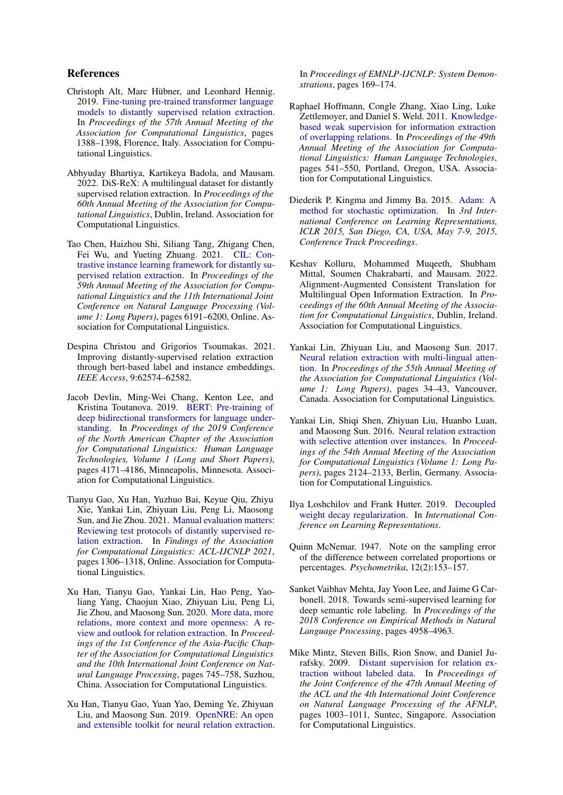#### References

- <span id="page-5-2"></span>Christoph Alt, Marc Hübner, and Leonhard Hennig. 2019. [Fine-tuning pre-trained transformer language](https://doi.org/10.18653/v1/P19-1134) [models to distantly supervised relation extraction.](https://doi.org/10.18653/v1/P19-1134) In *Proceedings of the 57th Annual Meeting of the Association for Computational Linguistics*, pages 1388–1398, Florence, Italy. Association for Computational Linguistics.
- <span id="page-5-7"></span>Abhyuday Bhartiya, Kartikeya Badola, and Mausam. 2022. DiS-ReX: A multilingual dataset for distantly supervised relation extraction. In *Proceedings of the 60th Annual Meeting of the Association for Computational Linguistics*, Dublin, Ireland. Association for Computational Linguistics.
- <span id="page-5-4"></span>Tao Chen, Haizhou Shi, Siliang Tang, Zhigang Chen, Fei Wu, and Yueting Zhuang. 2021. [CIL: Con](https://doi.org/10.18653/v1/2021.acl-long.483)[trastive instance learning framework for distantly su](https://doi.org/10.18653/v1/2021.acl-long.483)[pervised relation extraction.](https://doi.org/10.18653/v1/2021.acl-long.483) In *Proceedings of the 59th Annual Meeting of the Association for Computational Linguistics and the 11th International Joint Conference on Natural Language Processing (Volume 1: Long Papers)*, pages 6191–6200, Online. Association for Computational Linguistics.
- <span id="page-5-3"></span>Despina Christou and Grigorios Tsoumakas. 2021. Improving distantly-supervised relation extraction through bert-based label and instance embeddings. *IEEE Access*, 9:62574–62582.
- <span id="page-5-5"></span>Jacob Devlin, Ming-Wei Chang, Kenton Lee, and Kristina Toutanova. 2019. [BERT: Pre-training of](https://doi.org/10.18653/v1/N19-1423) [deep bidirectional transformers for language under](https://doi.org/10.18653/v1/N19-1423)[standing.](https://doi.org/10.18653/v1/N19-1423) In *Proceedings of the 2019 Conference of the North American Chapter of the Association for Computational Linguistics: Human Language Technologies, Volume 1 (Long and Short Papers)*, pages 4171–4186, Minneapolis, Minnesota. Association for Computational Linguistics.
- <span id="page-5-6"></span>Tianyu Gao, Xu Han, Yuzhuo Bai, Keyue Qiu, Zhiyu Xie, Yankai Lin, Zhiyuan Liu, Peng Li, Maosong Sun, and Jie Zhou. 2021. [Manual evaluation matters:](https://doi.org/10.18653/v1/2021.findings-acl.112) [Reviewing test protocols of distantly supervised re](https://doi.org/10.18653/v1/2021.findings-acl.112)[lation extraction.](https://doi.org/10.18653/v1/2021.findings-acl.112) In *Findings of the Association for Computational Linguistics: ACL-IJCNLP 2021*, pages 1306–1318, Online. Association for Computational Linguistics.
- <span id="page-5-15"></span>Xu Han, Tianyu Gao, Yankai Lin, Hao Peng, Yaoliang Yang, Chaojun Xiao, Zhiyuan Liu, Peng Li, Jie Zhou, and Maosong Sun. 2020. [More data, more](https://aclanthology.org/2020.aacl-main.75) [relations, more context and more openness: A re](https://aclanthology.org/2020.aacl-main.75)[view and outlook for relation extraction.](https://aclanthology.org/2020.aacl-main.75) In *Proceedings of the 1st Conference of the Asia-Pacific Chapter of the Association for Computational Linguistics and the 10th International Joint Conference on Natural Language Processing*, pages 745–758, Suzhou, China. Association for Computational Linguistics.
- <span id="page-5-10"></span>Xu Han, Tianyu Gao, Yuan Yao, Deming Ye, Zhiyuan Liu, and Maosong Sun. 2019. [OpenNRE: An open](https://doi.org/10.18653/v1/D19-3029) [and extensible toolkit for neural relation extraction.](https://doi.org/10.18653/v1/D19-3029)

In *Proceedings of EMNLP-IJCNLP: System Demonstrations*, pages 169–174.

- <span id="page-5-8"></span>Raphael Hoffmann, Congle Zhang, Xiao Ling, Luke Zettlemoyer, and Daniel S. Weld. 2011. [Knowledge](https://aclanthology.org/P11-1055)[based weak supervision for information extraction](https://aclanthology.org/P11-1055) [of overlapping relations.](https://aclanthology.org/P11-1055) In *Proceedings of the 49th Annual Meeting of the Association for Computational Linguistics: Human Language Technologies*, pages 541–550, Portland, Oregon, USA. Association for Computational Linguistics.
- <span id="page-5-14"></span>Diederik P. Kingma and Jimmy Ba. 2015. [Adam: A](http://arxiv.org/abs/1412.6980) [method for stochastic optimization.](http://arxiv.org/abs/1412.6980) In *3rd International Conference on Learning Representations, ICLR 2015, San Diego, CA, USA, May 7-9, 2015, Conference Track Proceedings*.
- <span id="page-5-12"></span>Keshav Kolluru, Mohammed Muqeeth, Shubham Mittal, Soumen Chakrabarti, and Mausam. 2022. Alignment-Augmented Consistent Translation for Multilingual Open Information Extraction. In *Proceedings of the 60th Annual Meeting of the Association for Computational Linguistics*, Dublin, Ireland. Association for Computational Linguistics.
- <span id="page-5-9"></span>Yankai Lin, Zhiyuan Liu, and Maosong Sun. 2017. [Neural relation extraction with multi-lingual atten](https://doi.org/10.18653/v1/P17-1004)[tion.](https://doi.org/10.18653/v1/P17-1004) In *Proceedings of the 55th Annual Meeting of the Association for Computational Linguistics (Volume 1: Long Papers)*, pages 34–43, Vancouver, Canada. Association for Computational Linguistics.
- <span id="page-5-1"></span>Yankai Lin, Shiqi Shen, Zhiyuan Liu, Huanbo Luan, and Maosong Sun. 2016. [Neural relation extraction](https://doi.org/10.18653/v1/P16-1200) [with selective attention over instances.](https://doi.org/10.18653/v1/P16-1200) In *Proceedings of the 54th Annual Meeting of the Association for Computational Linguistics (Volume 1: Long Papers)*, pages 2124–2133, Berlin, Germany. Association for Computational Linguistics.
- <span id="page-5-13"></span>Ilya Loshchilov and Frank Hutter. 2019. [Decoupled](https://openreview.net/forum?id=Bkg6RiCqY7) [weight decay regularization.](https://openreview.net/forum?id=Bkg6RiCqY7) In *International Conference on Learning Representations*.
- <span id="page-5-16"></span>Quinn McNemar. 1947. Note on the sampling error of the difference between correlated proportions or percentages. *Psychometrika*, 12(2):153–157.
- <span id="page-5-11"></span>Sanket Vaibhav Mehta, Jay Yoon Lee, and Jaime G Carbonell. 2018. Towards semi-supervised learning for deep semantic role labeling. In *Proceedings of the 2018 Conference on Empirical Methods in Natural Language Processing*, pages 4958–4963.
- <span id="page-5-0"></span>Mike Mintz, Steven Bills, Rion Snow, and Daniel Jurafsky. 2009. [Distant supervision for relation ex](https://aclanthology.org/P09-1113)[traction without labeled data.](https://aclanthology.org/P09-1113) In *Proceedings of the Joint Conference of the 47th Annual Meeting of the ACL and the 4th International Joint Conference on Natural Language Processing of the AFNLP*, pages 1003–1011, Suntec, Singapore. Association for Computational Linguistics.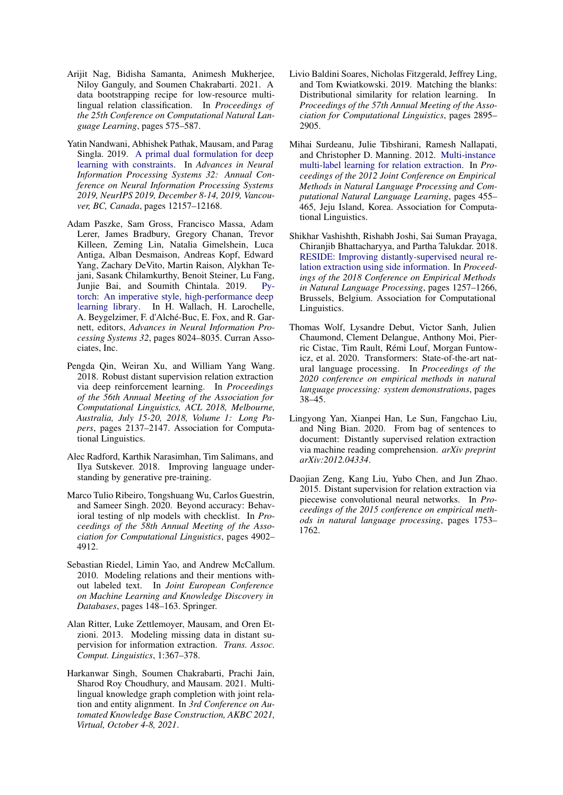- <span id="page-6-9"></span>Arijit Nag, Bidisha Samanta, Animesh Mukherjee, Niloy Ganguly, and Soumen Chakrabarti. 2021. A data bootstrapping recipe for low-resource multilingual relation classification. In *Proceedings of the 25th Conference on Computational Natural Language Learning*, pages 575–587.
- <span id="page-6-8"></span>Yatin Nandwani, Abhishek Pathak, Mausam, and Parag Singla. 2019. [A primal dual formulation for deep](https://proceedings.neurips.cc/paper/2019/hash/cf708fc1decf0337aded484f8f4519ae-Abstract.html) [learning with constraints.](https://proceedings.neurips.cc/paper/2019/hash/cf708fc1decf0337aded484f8f4519ae-Abstract.html) In *Advances in Neural Information Processing Systems 32: Annual Conference on Neural Information Processing Systems 2019, NeurIPS 2019, December 8-14, 2019, Vancouver, BC, Canada*, pages 12157–12168.
- <span id="page-6-11"></span>Adam Paszke, Sam Gross, Francisco Massa, Adam Lerer, James Bradbury, Gregory Chanan, Trevor Killeen, Zeming Lin, Natalia Gimelshein, Luca Antiga, Alban Desmaison, Andreas Kopf, Edward Yang, Zachary DeVito, Martin Raison, Alykhan Tejani, Sasank Chilamkurthy, Benoit Steiner, Lu Fang, Junjie Bai, and Soumith Chintala. 2019. [Py](http://papers.neurips.cc/paper/9015-pytorch-an-imperative-style-high-performance-deep-learning-library.pdf)[torch: An imperative style, high-performance deep](http://papers.neurips.cc/paper/9015-pytorch-an-imperative-style-high-performance-deep-learning-library.pdf) [learning library.](http://papers.neurips.cc/paper/9015-pytorch-an-imperative-style-high-performance-deep-learning-library.pdf) In H. Wallach, H. Larochelle, A. Beygelzimer, F. d'Alché-Buc, E. Fox, and R. Garnett, editors, *Advances in Neural Information Processing Systems 32*, pages 8024–8035. Curran Associates, Inc.
- <span id="page-6-5"></span>Pengda Qin, Weiran Xu, and William Yang Wang. 2018. Robust distant supervision relation extraction via deep reinforcement learning. In *Proceedings of the 56th Annual Meeting of the Association for Computational Linguistics, ACL 2018, Melbourne, Australia, July 15-20, 2018, Volume 1: Long Papers*, pages 2137–2147. Association for Computational Linguistics.
- <span id="page-6-14"></span>Alec Radford, Karthik Narasimhan, Tim Salimans, and Ilya Sutskever. 2018. Improving language understanding by generative pre-training.
- <span id="page-6-7"></span>Marco Tulio Ribeiro, Tongshuang Wu, Carlos Guestrin, and Sameer Singh. 2020. Beyond accuracy: Behavioral testing of nlp models with checklist. In *Proceedings of the 58th Annual Meeting of the Association for Computational Linguistics*, pages 4902– 4912.
- <span id="page-6-1"></span>Sebastian Riedel, Limin Yao, and Andrew McCallum. 2010. Modeling relations and their mentions without labeled text. In *Joint European Conference on Machine Learning and Knowledge Discovery in Databases*, pages 148–163. Springer.
- <span id="page-6-2"></span>Alan Ritter, Luke Zettlemoyer, Mausam, and Oren Etzioni. 2013. Modeling missing data in distant supervision for information extraction. *Trans. Assoc. Comput. Linguistics*, 1:367–378.
- <span id="page-6-10"></span>Harkanwar Singh, Soumen Chakrabarti, Prachi Jain, Sharod Roy Choudhury, and Mausam. 2021. Multilingual knowledge graph completion with joint relation and entity alignment. In *3rd Conference on Automated Knowledge Base Construction, AKBC 2021, Virtual, October 4-8, 2021*.
- <span id="page-6-13"></span>Livio Baldini Soares, Nicholas Fitzgerald, Jeffrey Ling, and Tom Kwiatkowski. 2019. Matching the blanks: Distributional similarity for relation learning. In *Proceedings of the 57th Annual Meeting of the Association for Computational Linguistics*, pages 2895– 2905.
- <span id="page-6-3"></span>Mihai Surdeanu, Julie Tibshirani, Ramesh Nallapati, and Christopher D. Manning. 2012. [Multi-instance](https://aclanthology.org/D12-1042) [multi-label learning for relation extraction.](https://aclanthology.org/D12-1042) In *Proceedings of the 2012 Joint Conference on Empirical Methods in Natural Language Processing and Computational Natural Language Learning*, pages 455– 465, Jeju Island, Korea. Association for Computational Linguistics.
- <span id="page-6-0"></span>Shikhar Vashishth, Rishabh Joshi, Sai Suman Prayaga, Chiranjib Bhattacharyya, and Partha Talukdar. 2018. [RESIDE: Improving distantly-supervised neural re](https://doi.org/10.18653/v1/D18-1157)[lation extraction using side information.](https://doi.org/10.18653/v1/D18-1157) In *Proceedings of the 2018 Conference on Empirical Methods in Natural Language Processing*, pages 1257–1266, Brussels, Belgium. Association for Computational Linguistics.
- <span id="page-6-12"></span>Thomas Wolf, Lysandre Debut, Victor Sanh, Julien Chaumond, Clement Delangue, Anthony Moi, Pierric Cistac, Tim Rault, Rémi Louf, Morgan Funtowicz, et al. 2020. Transformers: State-of-the-art natural language processing. In *Proceedings of the 2020 conference on empirical methods in natural language processing: system demonstrations*, pages 38–45.
- <span id="page-6-6"></span>Lingyong Yan, Xianpei Han, Le Sun, Fangchao Liu, and Ning Bian. 2020. From bag of sentences to document: Distantly supervised relation extraction via machine reading comprehension. *arXiv preprint arXiv:2012.04334*.
- <span id="page-6-4"></span>Daojian Zeng, Kang Liu, Yubo Chen, and Jun Zhao. 2015. Distant supervision for relation extraction via piecewise convolutional neural networks. In *Proceedings of the 2015 conference on empirical methods in natural language processing*, pages 1753– 1762.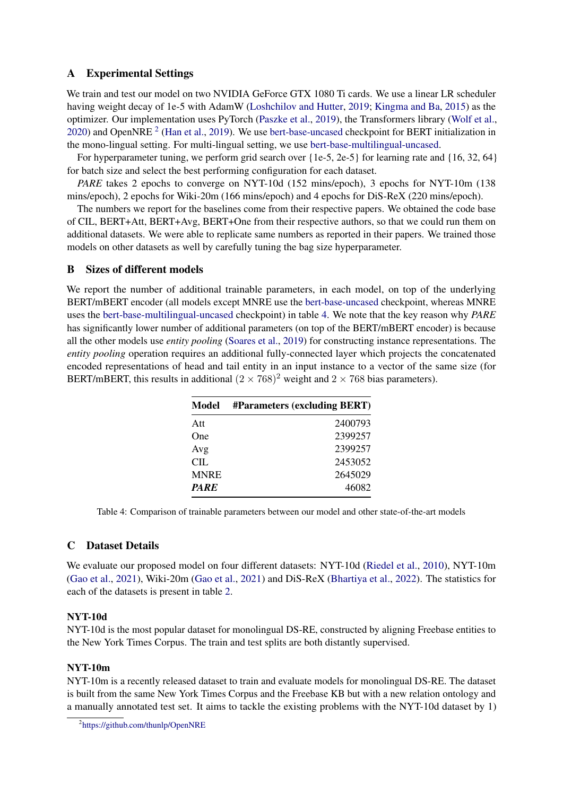# <span id="page-7-1"></span>A Experimental Settings

We train and test our model on two NVIDIA GeForce GTX 1080 Ti cards. We use a linear LR scheduler having weight decay of 1e-5 with AdamW [\(Loshchilov and Hutter,](#page-5-13) [2019;](#page-5-13) [Kingma and Ba,](#page-5-14) [2015\)](#page-5-14) as the optimizer. Our implementation uses PyTorch [\(Paszke et al.,](#page-6-11) [2019\)](#page-6-11), the Transformers library [\(Wolf et al.,](#page-6-12) [2020\)](#page-6-12) and OpenNRE<sup>[2](#page-7-2)</sup> [\(Han et al.,](#page-5-10) [2019\)](#page-5-10). We use [bert-base-uncased](https://huggingface.co/bert-base-uncased) checkpoint for BERT initialization in the mono-lingual setting. For multi-lingual setting, we use [bert-base-multilingual-uncased.](https://huggingface.co/bert-base-multilingual-uncased)

For hyperparameter tuning, we perform grid search over  $\{1e-5, 2e-5\}$  for learning rate and  $\{16, 32, 64\}$ for batch size and select the best performing configuration for each dataset.

*PARE* takes 2 epochs to converge on NYT-10d (152 mins/epoch), 3 epochs for NYT-10m (138 mins/epoch), 2 epochs for Wiki-20m (166 mins/epoch) and 4 epochs for DiS-ReX (220 mins/epoch).

The numbers we report for the baselines come from their respective papers. We obtained the code base of CIL, BERT+Att, BERT+Avg, BERT+One from their respective authors, so that we could run them on additional datasets. We were able to replicate same numbers as reported in their papers. We trained those models on other datasets as well by carefully tuning the bag size hyperparameter.

## B Sizes of different models

<span id="page-7-3"></span>We report the number of additional trainable parameters, in each model, on top of the underlying BERT/mBERT encoder (all models except MNRE use the [bert-base-uncased](https://huggingface.co/bert-base-uncased) checkpoint, whereas MNRE uses the [bert-base-multilingual-uncased](https://huggingface.co/bert-base-multilingual-uncased) checkpoint) in table [4.](#page-7-3) We note that the key reason why *PARE* has significantly lower number of additional parameters (on top of the BERT/mBERT encoder) is because all the other models use *entity pooling* [\(Soares et al.,](#page-6-13) [2019\)](#page-6-13) for constructing instance representations. The *entity pooling* operation requires an additional fully-connected layer which projects the concatenated encoded representations of head and tail entity in an input instance to a vector of the same size (for BERT/mBERT, this results in additional  $(2 \times 768)^2$  weight and  $2 \times 768$  bias parameters).

| Model       | #Parameters (excluding BERT) |
|-------------|------------------------------|
| Att         | 2400793                      |
| One         | 2399257                      |
| Avg         | 2399257                      |
| CIL.        | 2453052                      |
| <b>MNRE</b> | 2645029                      |
| <b>PARE</b> | 46082                        |

Table 4: Comparison of trainable parameters between our model and other state-of-the-art models

# <span id="page-7-0"></span>C Dataset Details

We evaluate our proposed model on four different datasets: NYT-10d [\(Riedel et al.,](#page-6-1) [2010\)](#page-6-1), NYT-10m [\(Gao et al.,](#page-5-6) [2021\)](#page-5-6), Wiki-20m [\(Gao et al.,](#page-5-6) [2021\)](#page-5-6) and DiS-ReX [\(Bhartiya et al.,](#page-5-7) [2022\)](#page-5-7). The statistics for each of the datasets is present in table [2.](#page-3-0)

### NYT-10d

NYT-10d is the most popular dataset for monolingual DS-RE, constructed by aligning Freebase entities to the New York Times Corpus. The train and test splits are both distantly supervised.

### NYT-10m

NYT-10m is a recently released dataset to train and evaluate models for monolingual DS-RE. The dataset is built from the same New York Times Corpus and the Freebase KB but with a new relation ontology and a manually annotated test set. It aims to tackle the existing problems with the NYT-10d dataset by 1)

<span id="page-7-2"></span><sup>2</sup> <https://github.com/thunlp/OpenNRE>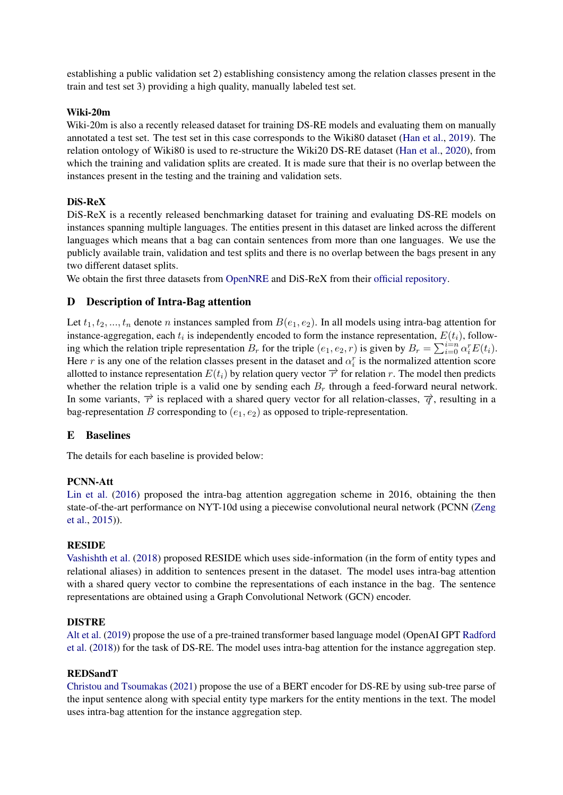establishing a public validation set 2) establishing consistency among the relation classes present in the train and test set 3) providing a high quality, manually labeled test set.

### Wiki-20m

Wiki-20m is also a recently released dataset for training DS-RE models and evaluating them on manually annotated a test set. The test set in this case corresponds to the Wiki80 dataset [\(Han et al.,](#page-5-10) [2019\)](#page-5-10). The relation ontology of Wiki80 is used to re-structure the Wiki20 DS-RE dataset [\(Han et al.,](#page-5-15) [2020\)](#page-5-15), from which the training and validation splits are created. It is made sure that their is no overlap between the instances present in the testing and the training and validation sets.

# DiS-ReX

DiS-ReX is a recently released benchmarking dataset for training and evaluating DS-RE models on instances spanning multiple languages. The entities present in this dataset are linked across the different languages which means that a bag can contain sentences from more than one languages. We use the publicly available train, validation and test splits and there is no overlap between the bags present in any two different dataset splits.

We obtain the first three datasets from [OpenNRE](https://github.com/thunlp/OpenNRE#datasets) and DiS-ReX from their [official repository.](https://github.com/dair-iitd/DiS-ReX)

# D Description of Intra-Bag attention

Let  $t_1, t_2, ..., t_n$  denote n instances sampled from  $B(e_1, e_2)$ . In all models using intra-bag attention for instance-aggregation, each  $t_i$  is independently encoded to form the instance representation,  $E(t_i)$ , following which the relation triple representation  $B_r$  for the triple  $(e_1, e_2, r)$  is given by  $B_r = \sum_{i=0}^{i=n} \alpha_i^r E(t_i)$ . Here r is any one of the relation classes present in the dataset and  $\alpha_i^r$  is the normalized attention score allotted to instance representation  $E(t_i)$  by relation query vector  $\vec{r}$  for relation r. The model then predicts whether the relation triple is a valid one by sending each  $B_r$  through a feed-forward neural network. In some variants,  $\vec{r}$  is replaced with a shared query vector for all relation-classes,  $\vec{q}$ , resulting in a bag-representation B corresponding to  $(e_1, e_2)$  as opposed to triple-representation.

### <span id="page-8-0"></span>E Baselines

The details for each baseline is provided below:

### PCNN-Att

[Lin et al.](#page-5-1) [\(2016\)](#page-5-1) proposed the intra-bag attention aggregation scheme in 2016, obtaining the then state-of-the-art performance on NYT-10d using a piecewise convolutional neural network (PCNN [\(Zeng](#page-6-4) [et al.,](#page-6-4) [2015\)](#page-6-4)).

### RESIDE

[Vashishth et al.](#page-6-0) [\(2018\)](#page-6-0) proposed RESIDE which uses side-information (in the form of entity types and relational aliases) in addition to sentences present in the dataset. The model uses intra-bag attention with a shared query vector to combine the representations of each instance in the bag. The sentence representations are obtained using a Graph Convolutional Network (GCN) encoder.

### DISTRE

[Alt et al.](#page-5-2) [\(2019\)](#page-5-2) propose the use of a pre-trained transformer based language model (OpenAI GPT [Radford](#page-6-14) [et al.](#page-6-14) [\(2018\)](#page-6-14)) for the task of DS-RE. The model uses intra-bag attention for the instance aggregation step.

### REDSandT

[Christou and Tsoumakas](#page-5-3) [\(2021\)](#page-5-3) propose the use of a BERT encoder for DS-RE by using sub-tree parse of the input sentence along with special entity type markers for the entity mentions in the text. The model uses intra-bag attention for the instance aggregation step.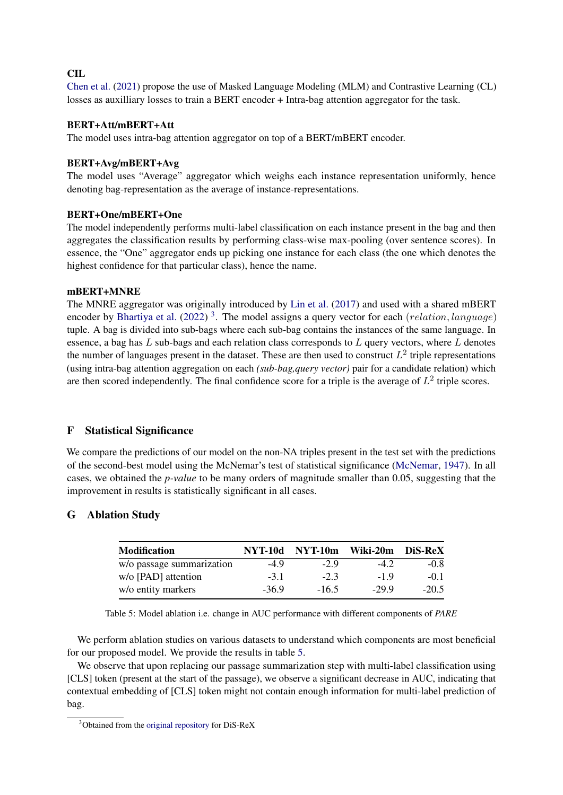# CIL

[Chen et al.](#page-5-4) [\(2021\)](#page-5-4) propose the use of Masked Language Modeling (MLM) and Contrastive Learning (CL) losses as auxilliary losses to train a BERT encoder + Intra-bag attention aggregator for the task.

#### BERT+Att/mBERT+Att

The model uses intra-bag attention aggregator on top of a BERT/mBERT encoder.

#### BERT+Avg/mBERT+Avg

The model uses "Average" aggregator which weighs each instance representation uniformly, hence denoting bag-representation as the average of instance-representations.

#### BERT+One/mBERT+One

The model independently performs multi-label classification on each instance present in the bag and then aggregates the classification results by performing class-wise max-pooling (over sentence scores). In essence, the "One" aggregator ends up picking one instance for each class (the one which denotes the highest confidence for that particular class), hence the name.

#### mBERT+MNRE

The MNRE aggregator was originally introduced by [Lin et al.](#page-5-9) [\(2017\)](#page-5-9) and used with a shared mBERT encoder by [Bhartiya et al.](#page-5-7) [\(2022\)](#page-5-7)<sup>[3](#page-9-1)</sup>. The model assigns a query vector for each (*relation*, *language*) tuple. A bag is divided into sub-bags where each sub-bag contains the instances of the same language. In essence, a bag has  $L$  sub-bags and each relation class corresponds to  $L$  query vectors, where  $L$  denotes the number of languages present in the dataset. These are then used to construct  $L^2$  triple representations (using intra-bag attention aggregation on each *(sub-bag,query vector)* pair for a candidate relation) which are then scored independently. The final confidence score for a triple is the average of  $L^2$  triple scores.

### F Statistical Significance

We compare the predictions of our model on the non-NA triples present in the test set with the predictions of the second-best model using the McNemar's test of statistical significance [\(McNemar,](#page-5-16) [1947\)](#page-5-16). In all cases, we obtained the *p-value* to be many orders of magnitude smaller than 0.05, suggesting that the improvement in results is statistically significant in all cases.

### <span id="page-9-2"></span><span id="page-9-0"></span>G Ablation Study

| <b>Modification</b>       | <b>NYT-10d</b> | NYT-10m | Wiki-20m | DiS-ReX |  |
|---------------------------|----------------|---------|----------|---------|--|
| w/o passage summarization | $-4.9$         | $-2.9$  | $-4.2$   | $-0.8$  |  |
| w/o [PAD] attention       | $-3.1$         | $-2.3$  | $-19$    | $-0.1$  |  |
| w/o entity markers        | $-36.9$        | $-16.5$ | $-299$   | $-20.5$ |  |

Table 5: Model ablation i.e. change in AUC performance with different components of *PARE*

We perform ablation studies on various datasets to understand which components are most beneficial for our proposed model. We provide the results in table [5.](#page-9-2)

We observe that upon replacing our passage summarization step with multi-label classification using [CLS] token (present at the start of the passage), we observe a significant decrease in AUC, indicating that contextual embedding of [CLS] token might not contain enough information for multi-label prediction of bag.

<span id="page-9-1"></span><sup>&</sup>lt;sup>3</sup>Obtained from the [original repository](https://github.com/dair-iitd/DiS-ReX) for DiS-ReX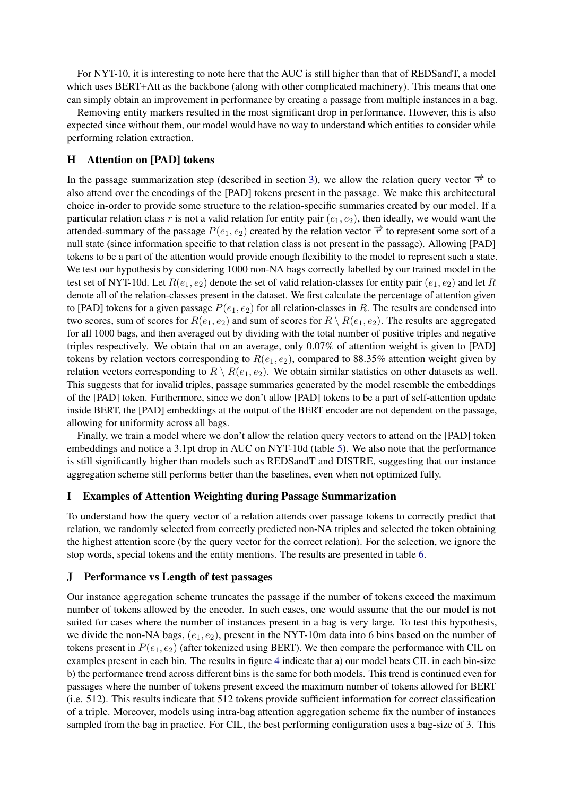For NYT-10, it is interesting to note here that the AUC is still higher than that of REDSandT, a model which uses BERT+Att as the backbone (along with other complicated machinery). This means that one can simply obtain an improvement in performance by creating a passage from multiple instances in a bag.

Removing entity markers resulted in the most significant drop in performance. However, this is also expected since without them, our model would have no way to understand which entities to consider while performing relation extraction.

## <span id="page-10-1"></span>H Attention on [PAD] tokens

In the passage summarization step (described in section [3\)](#page-1-2), we allow the relation query vector  $\vec{r}$  to also attend over the encodings of the [PAD] tokens present in the passage. We make this architectural choice in-order to provide some structure to the relation-specific summaries created by our model. If a particular relation class r is not a valid relation for entity pair  $(e_1, e_2)$ , then ideally, we would want the attended-summary of the passage  $P(e_1, e_2)$  created by the relation vector  $\vec{r}$  to represent some sort of a null state (since information specific to that relation class is not present in the passage). Allowing [PAD] tokens to be a part of the attention would provide enough flexibility to the model to represent such a state. We test our hypothesis by considering 1000 non-NA bags correctly labelled by our trained model in the test set of NYT-10d. Let  $R(e_1, e_2)$  denote the set of valid relation-classes for entity pair  $(e_1, e_2)$  and let R denote all of the relation-classes present in the dataset. We first calculate the percentage of attention given to [PAD] tokens for a given passage  $P(e_1, e_2)$  for all relation-classes in R. The results are condensed into two scores, sum of scores for  $R(e_1, e_2)$  and sum of scores for  $R \setminus R(e_1, e_2)$ . The results are aggregated for all 1000 bags, and then averaged out by dividing with the total number of positive triples and negative triples respectively. We obtain that on an average, only 0.07% of attention weight is given to [PAD] tokens by relation vectors corresponding to  $R(e_1, e_2)$ , compared to 88.35% attention weight given by relation vectors corresponding to  $R \setminus R(e_1, e_2)$ . We obtain similar statistics on other datasets as well. This suggests that for invalid triples, passage summaries generated by the model resemble the embeddings of the [PAD] token. Furthermore, since we don't allow [PAD] tokens to be a part of self-attention update inside BERT, the [PAD] embeddings at the output of the BERT encoder are not dependent on the passage, allowing for uniformity across all bags.

Finally, we train a model where we don't allow the relation query vectors to attend on the [PAD] token embeddings and notice a 3.1pt drop in AUC on NYT-10d (table [5\)](#page-9-2). We also note that the performance is still significantly higher than models such as REDSandT and DISTRE, suggesting that our instance aggregation scheme still performs better than the baselines, even when not optimized fully.

## <span id="page-10-2"></span>I Examples of Attention Weighting during Passage Summarization

To understand how the query vector of a relation attends over passage tokens to correctly predict that relation, we randomly selected from correctly predicted non-NA triples and selected the token obtaining the highest attention score (by the query vector for the correct relation). For the selection, we ignore the stop words, special tokens and the entity mentions. The results are presented in table [6.](#page-11-1)

#### <span id="page-10-0"></span>J Performance vs Length of test passages

Our instance aggregation scheme truncates the passage if the number of tokens exceed the maximum number of tokens allowed by the encoder. In such cases, one would assume that the our model is not suited for cases where the number of instances present in a bag is very large. To test this hypothesis, we divide the non-NA bags,  $(e_1, e_2)$ , present in the NYT-10m data into 6 bins based on the number of tokens present in  $P(e_1, e_2)$  (after tokenized using BERT). We then compare the performance with CIL on examples present in each bin. The results in figure [4](#page-3-1) indicate that a) our model beats CIL in each bin-size b) the performance trend across different bins is the same for both models. This trend is continued even for passages where the number of tokens present exceed the maximum number of tokens allowed for BERT (i.e. 512). This results indicate that 512 tokens provide sufficient information for correct classification of a triple. Moreover, models using intra-bag attention aggregation scheme fix the number of instances sampled from the bag in practice. For CIL, the best performing configuration uses a bag-size of 3. This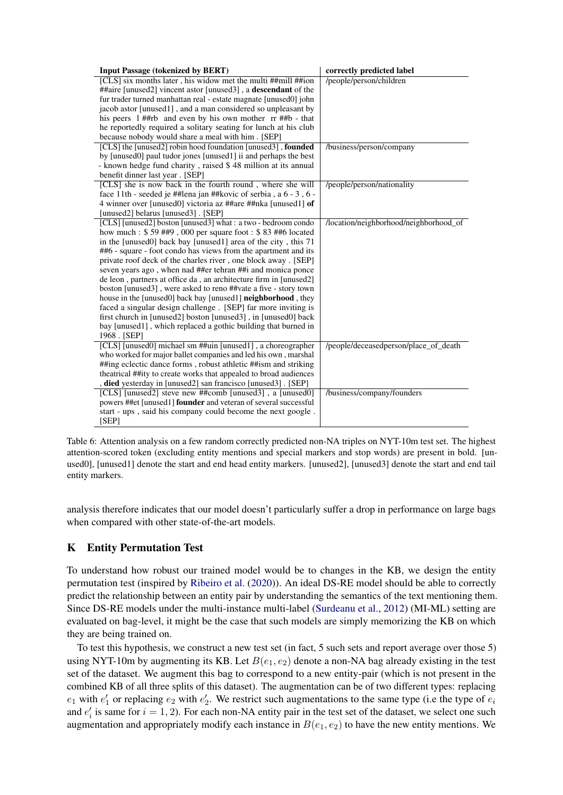<span id="page-11-1"></span>

| <b>Input Passage (tokenized by BERT)</b>                               | correctly predicted label              |
|------------------------------------------------------------------------|----------------------------------------|
| [CLS] six months later, his widow met the multi ##mill ##ion           | /people/person/children                |
| ##aire [unused2] vincent astor [unused3], a <b>descendant</b> of the   |                                        |
| fur trader turned manhattan real - estate magnate [unused0] john       |                                        |
| jacob astor [unused1], and a man considered so unpleasant by           |                                        |
| his peers 1##rb and even by his own mother rr ##b - that               |                                        |
| he reportedly required a solitary seating for lunch at his club        |                                        |
| because nobody would share a meal with him. [SEP]                      |                                        |
| [CLS] the [unused2] robin hood foundation [unused3], <b>founded</b>    | /business/person/company               |
| by [unused0] paul tudor jones [unused1] ii and perhaps the best        |                                        |
| - known hedge fund charity, raised \$48 million at its annual          |                                        |
| benefit dinner last year. [SEP]                                        |                                        |
| [CLS] she is now back in the fourth round, where she will              | /people/person/nationality             |
| face 11th - seeded je ##lena jan ##kovic of serbia, a 6 - 3, 6 -       |                                        |
| 4 winner over [unused0] victoria az ##are ##nka [unused1] of           |                                        |
| [unused2] belarus [unused3]. [SEP]                                     |                                        |
| [CLS] [unused2] boston [unused3] what : a two - bedroom condo          | /location/neighborhood/neighborhood_of |
| how much: \$59 ##9,000 per square foot: \$83 ##6 located               |                                        |
| in the [unused0] back bay [unused1] area of the city, this 71          |                                        |
| ##6 - square - foot condo has views from the apartment and its         |                                        |
| private roof deck of the charles river, one block away. [SEP]          |                                        |
| seven years ago, when nad ##er tehran ##i and monica ponce             |                                        |
| de leon, partners at office da, an architecture firm in [unused2]      |                                        |
| boston [unused3], were asked to reno ##vate a five - story town        |                                        |
| house in the [unused0] back bay [unused1] <b>neighborhood</b> , they   |                                        |
| faced a singular design challenge. [SEP] far more inviting is          |                                        |
| first church in [unused2] boston [unused3], in [unused0] back          |                                        |
| bay [unused1], which replaced a gothic building that burned in         |                                        |
| 1968. [SEP]                                                            |                                        |
| [CLS] [unused0] michael sm ##uin [unused1], a choreographer            | /people/deceasedperson/place_of_death  |
| who worked for major ballet companies and led his own, marshal         |                                        |
| ##ing eclectic dance forms, robust athletic ##ism and striking         |                                        |
| theatrical ##ity to create works that appealed to broad audiences      |                                        |
| died yesterday in [unused2] san francisco [unused3]. [SEP]             |                                        |
| [CLS] [unused2] steve new ##comb [unused3], a [unused0]                | /business/company/founders             |
| powers ##et [unused1] <b>founder</b> and veteran of several successful |                                        |
| start - ups, said his company could become the next google.            |                                        |
| [SEP]                                                                  |                                        |

Table 6: Attention analysis on a few random correctly predicted non-NA triples on NYT-10m test set. The highest attention-scored token (excluding entity mentions and special markers and stop words) are present in bold. [unused0], [unused1] denote the start and end head entity markers. [unused2], [unused3] denote the start and end tail entity markers.

analysis therefore indicates that our model doesn't particularly suffer a drop in performance on large bags when compared with other state-of-the-art models.

# <span id="page-11-0"></span>K Entity Permutation Test

To understand how robust our trained model would be to changes in the KB, we design the entity permutation test (inspired by [Ribeiro et al.](#page-6-7) [\(2020\)](#page-6-7)). An ideal DS-RE model should be able to correctly predict the relationship between an entity pair by understanding the semantics of the text mentioning them. Since DS-RE models under the multi-instance multi-label [\(Surdeanu et al.,](#page-6-3) [2012\)](#page-6-3) (MI-ML) setting are evaluated on bag-level, it might be the case that such models are simply memorizing the KB on which they are being trained on.

To test this hypothesis, we construct a new test set (in fact, 5 such sets and report average over those 5) using NYT-10m by augmenting its KB. Let  $B(e_1, e_2)$  denote a non-NA bag already existing in the test set of the dataset. We augment this bag to correspond to a new entity-pair (which is not present in the combined KB of all three splits of this dataset). The augmentation can be of two different types: replacing  $e_1$  with  $e'_1$  or replacing  $e_2$  with  $e'_2$ . We restrict such augmentations to the same type (i.e the type of  $e_i$ and  $e'_i$  is same for  $i = 1, 2$ ). For each non-NA entity pair in the test set of the dataset, we select one such augmentation and appropriately modify each instance in  $B(e_1, e_2)$  to have the new entity mentions. We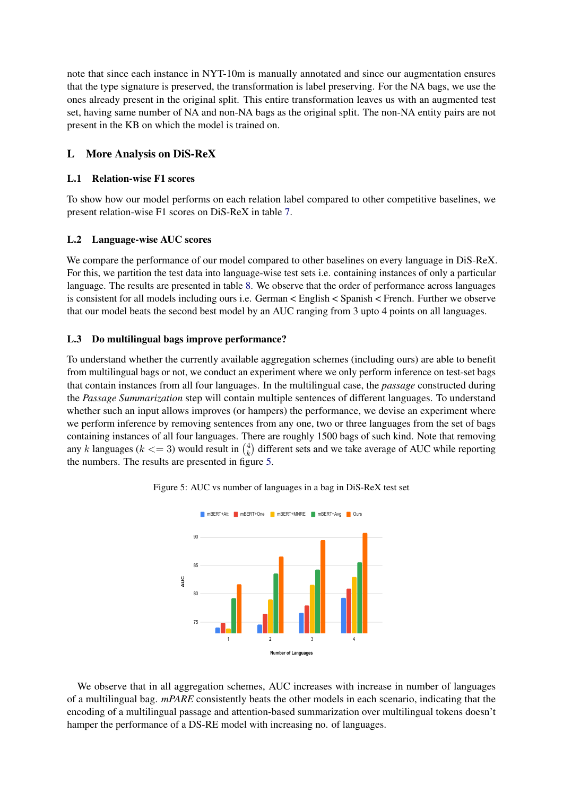note that since each instance in NYT-10m is manually annotated and since our augmentation ensures that the type signature is preserved, the transformation is label preserving. For the NA bags, we use the ones already present in the original split. This entire transformation leaves us with an augmented test set, having same number of NA and non-NA bags as the original split. The non-NA entity pairs are not present in the KB on which the model is trained on.

# <span id="page-12-0"></span>L More Analysis on DiS-ReX

## L.1 Relation-wise F1 scores

To show how our model performs on each relation label compared to other competitive baselines, we present relation-wise F1 scores on DiS-ReX in table [7.](#page-13-1)

# L.2 Language-wise AUC scores

We compare the performance of our model compared to other baselines on every language in DiS-ReX. For this, we partition the test data into language-wise test sets i.e. containing instances of only a particular language. The results are presented in table [8.](#page-13-2) We observe that the order of performance across languages is consistent for all models including ours i.e. German < English < Spanish < French. Further we observe that our model beats the second best model by an AUC ranging from 3 upto 4 points on all languages.

# L.3 Do multilingual bags improve performance?

To understand whether the currently available aggregation schemes (including ours) are able to benefit from multilingual bags or not, we conduct an experiment where we only perform inference on test-set bags that contain instances from all four languages. In the multilingual case, the *passage* constructed during the *Passage Summarization* step will contain multiple sentences of different languages. To understand whether such an input allows improves (or hampers) the performance, we devise an experiment where we perform inference by removing sentences from any one, two or three languages from the set of bags containing instances of all four languages. There are roughly 1500 bags of such kind. Note that removing any k languages ( $k \leq 3$ ) would result in  $\binom{4}{k}$  $\kappa_k^4$ ) different sets and we take average of AUC while reporting the numbers. The results are presented in figure [5.](#page-12-1)



<span id="page-12-1"></span>

We observe that in all aggregation schemes, AUC increases with increase in number of languages of a multilingual bag. *mPARE* consistently beats the other models in each scenario, indicating that the encoding of a multilingual passage and attention-based summarization over multilingual tokens doesn't hamper the performance of a DS-RE model with increasing no. of languages.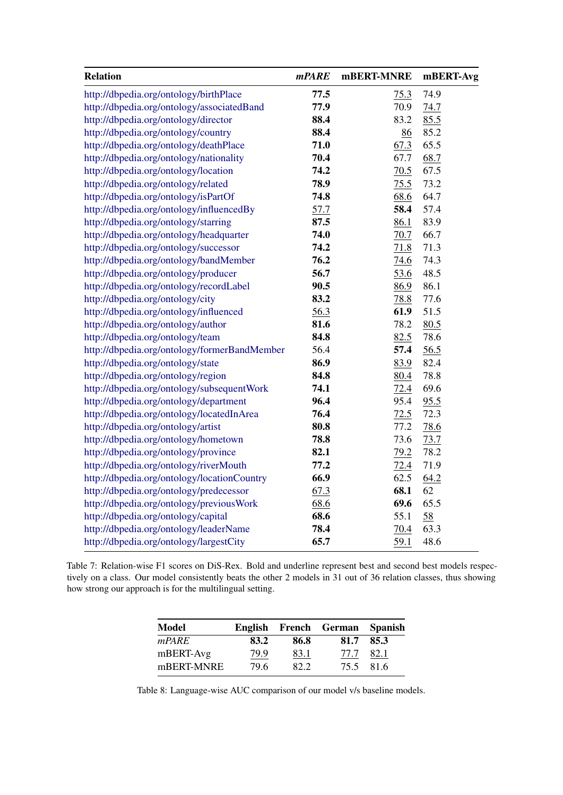<span id="page-13-1"></span>

| <b>Relation</b>                              | <i>mPARE</i> | mBERT-MNRE | mBERT-Avg |
|----------------------------------------------|--------------|------------|-----------|
| http://dbpedia.org/ontology/birthPlace       | 77.5         | 75.3       | 74.9      |
| http://dbpedia.org/ontology/associatedBand   | 77.9         | 70.9       | 74.7      |
| http://dbpedia.org/ontology/director         | 88.4         | 83.2       | 85.5      |
| http://dbpedia.org/ontology/country          | 88.4         | 86         | 85.2      |
| http://dbpedia.org/ontology/deathPlace       | 71.0         | 67.3       | 65.5      |
| http://dbpedia.org/ontology/nationality      | 70.4         | 67.7       | 68.7      |
| http://dbpedia.org/ontology/location         | 74.2         | 70.5       | 67.5      |
| http://dbpedia.org/ontology/related          | 78.9         | 75.5       | 73.2      |
| http://dbpedia.org/ontology/isPartOf         | 74.8         | 68.6       | 64.7      |
| http://dbpedia.org/ontology/influencedBy     | 57.7         | 58.4       | 57.4      |
| http://dbpedia.org/ontology/starring         | 87.5         | 86.1       | 83.9      |
| http://dbpedia.org/ontology/headquarter      | 74.0         | 70.7       | 66.7      |
| http://dbpedia.org/ontology/successor        | 74.2         | 71.8       | 71.3      |
| http://dbpedia.org/ontology/bandMember       | 76.2         | 74.6       | 74.3      |
| http://dbpedia.org/ontology/producer         | 56.7         | 53.6       | 48.5      |
| http://dbpedia.org/ontology/recordLabel      | 90.5         | 86.9       | 86.1      |
| http://dbpedia.org/ontology/city             | 83.2         | 78.8       | 77.6      |
| http://dbpedia.org/ontology/influenced       | 56.3         | 61.9       | 51.5      |
| http://dbpedia.org/ontology/author           | 81.6         | 78.2       | 80.5      |
| http://dbpedia.org/ontology/team             | 84.8         | 82.5       | 78.6      |
| http://dbpedia.org/ontology/formerBandMember | 56.4         | 57.4       | 56.5      |
| http://dbpedia.org/ontology/state            | 86.9         | 83.9       | 82.4      |
| http://dbpedia.org/ontology/region           | 84.8         | 80.4       | 78.8      |
| http://dbpedia.org/ontology/subsequentWork   | 74.1         | 72.4       | 69.6      |
| http://dbpedia.org/ontology/department       | 96.4         | 95.4       | 95.5      |
| http://dbpedia.org/ontology/locatedInArea    | 76.4         | 72.5       | 72.3      |
| http://dbpedia.org/ontology/artist           | 80.8         | 77.2       | 78.6      |
| http://dbpedia.org/ontology/hometown         | 78.8         | 73.6       | 73.7      |
| http://dbpedia.org/ontology/province         | 82.1         | 79.2       | 78.2      |
| http://dbpedia.org/ontology/riverMouth       | 77.2         | 72.4       | 71.9      |
| http://dbpedia.org/ontology/locationCountry  | 66.9         | 62.5       | 64.2      |
| http://dbpedia.org/ontology/predecessor      | 67.3         | 68.1       | 62        |
| http://dbpedia.org/ontology/previousWork     | 68.6         | 69.6       | 65.5      |
| http://dbpedia.org/ontology/capital          | 68.6         | 55.1       | 58        |
| http://dbpedia.org/ontology/leaderName       | 78.4         | 70.4       | 63.3      |
| http://dbpedia.org/ontology/largestCity      | 65.7         | 59.1       | 48.6      |

<span id="page-13-2"></span>Table 7: Relation-wise F1 scores on DiS-Rex. Bold and underline represent best and second best models respectively on a class. Our model consistently beats the other 2 models in 31 out of 36 relation classes, thus showing how strong our approach is for the multilingual setting.

| <b>Model</b> |      |      | English French German Spanish |           |
|--------------|------|------|-------------------------------|-----------|
| mPARE        | 83.2 | 86.8 | 81.7                          | 85.3      |
| mBERT-Avg    | 79.9 | 83.1 | 77.7                          | 82.1      |
| mBERT-MNRE   | 79.6 | 82.2 |                               | 75.5 81.6 |

<span id="page-13-0"></span>Table 8: Language-wise AUC comparison of our model v/s baseline models.